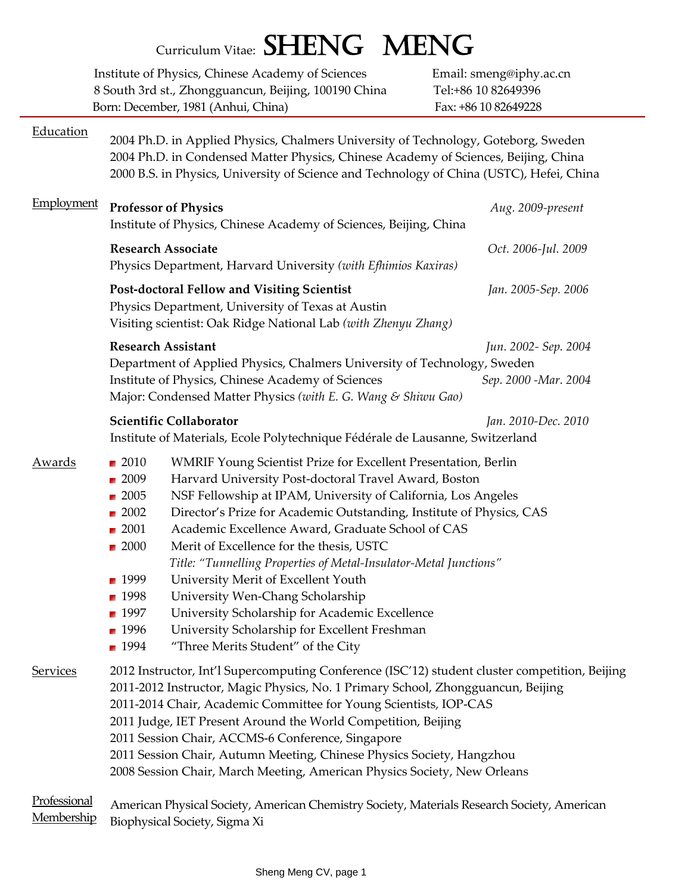|                 | Curriculum Vitae: SHENG MENG                                                                                                                                                                                                                                                                                                                                                                                                                                                                                                                                                                                                                                                                                                                                                                                                                       |                                                                        |
|-----------------|----------------------------------------------------------------------------------------------------------------------------------------------------------------------------------------------------------------------------------------------------------------------------------------------------------------------------------------------------------------------------------------------------------------------------------------------------------------------------------------------------------------------------------------------------------------------------------------------------------------------------------------------------------------------------------------------------------------------------------------------------------------------------------------------------------------------------------------------------|------------------------------------------------------------------------|
|                 | Institute of Physics, Chinese Academy of Sciences<br>8 South 3rd st., Zhongguancun, Beijing, 100190 China<br>Born: December, 1981 (Anhui, China)                                                                                                                                                                                                                                                                                                                                                                                                                                                                                                                                                                                                                                                                                                   | Email: smeng@iphy.ac.cn<br>Tel:+86 10 82649396<br>Fax: +86 10 82649228 |
| Education       | 2004 Ph.D. in Applied Physics, Chalmers University of Technology, Goteborg, Sweden<br>2004 Ph.D. in Condensed Matter Physics, Chinese Academy of Sciences, Beijing, China<br>2000 B.S. in Physics, University of Science and Technology of China (USTC), Hefei, China                                                                                                                                                                                                                                                                                                                                                                                                                                                                                                                                                                              |                                                                        |
| Employment      | <b>Professor of Physics</b><br>Institute of Physics, Chinese Academy of Sciences, Beijing, China                                                                                                                                                                                                                                                                                                                                                                                                                                                                                                                                                                                                                                                                                                                                                   | Aug. 2009-present                                                      |
|                 | <b>Research Associate</b><br>Physics Department, Harvard University (with Efhimios Kaxiras)                                                                                                                                                                                                                                                                                                                                                                                                                                                                                                                                                                                                                                                                                                                                                        | Oct. 2006-Jul. 2009                                                    |
|                 | Post-doctoral Fellow and Visiting Scientist<br>Physics Department, University of Texas at Austin<br>Visiting scientist: Oak Ridge National Lab (with Zhenyu Zhang)                                                                                                                                                                                                                                                                                                                                                                                                                                                                                                                                                                                                                                                                                 | Jan. 2005-Sep. 2006                                                    |
|                 | <b>Research Assistant</b><br>Department of Applied Physics, Chalmers University of Technology, Sweden<br>Institute of Physics, Chinese Academy of Sciences<br>Major: Condensed Matter Physics (with E. G. Wang & Shiwu Gao)                                                                                                                                                                                                                                                                                                                                                                                                                                                                                                                                                                                                                        | Jun. 2002- Sep. 2004<br>Sep. 2000 - Mar. 2004                          |
|                 | Scientific Collaborator<br>Institute of Materials, Ecole Polytechnique Fédérale de Lausanne, Switzerland                                                                                                                                                                                                                                                                                                                                                                                                                                                                                                                                                                                                                                                                                                                                           | Jan. 2010-Dec. 2010                                                    |
| Awards          | ■ 2010<br>WMRIF Young Scientist Prize for Excellent Presentation, Berlin<br>Harvard University Post-doctoral Travel Award, Boston<br>$\blacksquare$ 2009<br>NSF Fellowship at IPAM, University of California, Los Angeles<br>$\blacksquare$ 2005<br>$\blacksquare$ 2002<br>Director's Prize for Academic Outstanding, Institute of Physics, CAS<br>Academic Excellence Award, Graduate School of CAS<br>$\blacksquare$ 2001<br>$\blacksquare$ 2000<br>Merit of Excellence for the thesis, USTC<br>Title: "Tunnelling Properties of Metal-Insulator-Metal Junctions"<br>University Merit of Excellent Youth<br>■ 1999<br>University Wen-Chang Scholarship<br>■ 1998<br>$\blacksquare$ 1997<br>University Scholarship for Academic Excellence<br>1996<br>University Scholarship for Excellent Freshman<br>1994<br>"Three Merits Student" of the City |                                                                        |
| <b>Services</b> | 2012 Instructor, Int'l Supercomputing Conference (ISC'12) student cluster competition, Beijing<br>2011-2012 Instructor, Magic Physics, No. 1 Primary School, Zhongguancun, Beijing<br>2011-2014 Chair, Academic Committee for Young Scientists, IOP-CAS<br>2011 Judge, IET Present Around the World Competition, Beijing<br>2011 Session Chair, ACCMS-6 Conference, Singapore<br>2011 Session Chair, Autumn Meeting, Chinese Physics Society, Hangzhou<br>2008 Session Chair, March Meeting, American Physics Society, New Orleans                                                                                                                                                                                                                                                                                                                 |                                                                        |
| Professional    | American Physical Cocioty American Chamistry Cocioty Materials Pessaggio Cocioty American                                                                                                                                                                                                                                                                                                                                                                                                                                                                                                                                                                                                                                                                                                                                                          |                                                                        |

#### Professional Membership American Physical Society, American Chemistry Society, Materials Research Society, American Biophysical Society, Sigma Xi